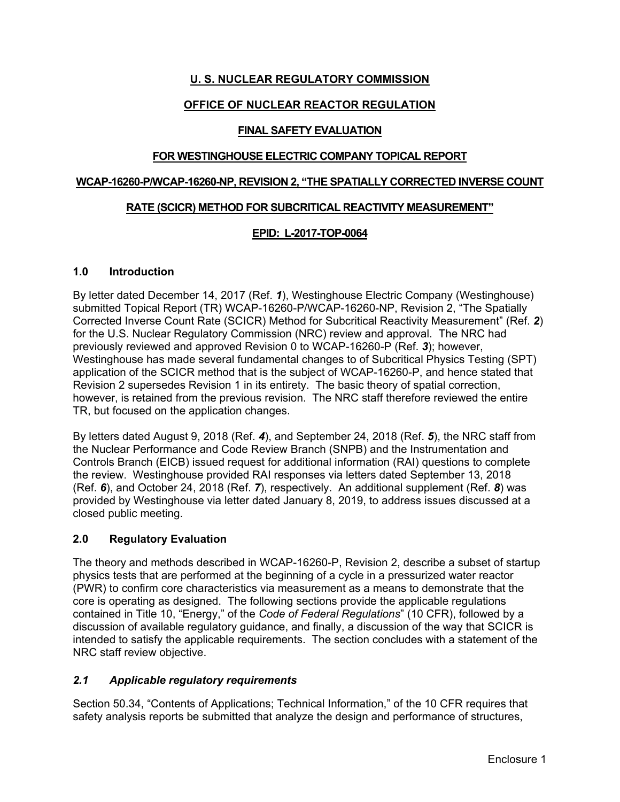# **U. S. NUCLEAR REGULATORY COMMISSION**

## **OFFICE OF NUCLEAR REACTOR REGULATION**

#### **FINAL SAFETY EVALUATION**

#### **FOR WESTINGHOUSE ELECTRIC COMPANY TOPICAL REPORT**

#### **WCAP-16260-P/WCAP-16260-NP, REVISION 2, "THE SPATIALLY CORRECTED INVERSE COUNT**

#### **RATE (SCICR) METHOD FOR SUBCRITICAL REACTIVITY MEASUREMENT"**

## **EPID: L-2017-TOP-0064**

#### **1.0 Introduction**

By letter dated December 14, 2017 (Ref. *1*), Westinghouse Electric Company (Westinghouse) submitted Topical Report (TR) WCAP-16260-P/WCAP-16260-NP, Revision 2, "The Spatially Corrected Inverse Count Rate (SCICR) Method for Subcritical Reactivity Measurement" (Ref. *2*) for the U.S. Nuclear Regulatory Commission (NRC) review and approval. The NRC had previously reviewed and approved Revision 0 to WCAP-16260-P (Ref. *3*); however, Westinghouse has made several fundamental changes to of Subcritical Physics Testing (SPT) application of the SCICR method that is the subject of WCAP-16260-P, and hence stated that Revision 2 supersedes Revision 1 in its entirety. The basic theory of spatial correction, however, is retained from the previous revision. The NRC staff therefore reviewed the entire TR, but focused on the application changes.

By letters dated August 9, 2018 (Ref. *4*), and September 24, 2018 (Ref. *5*), the NRC staff from the Nuclear Performance and Code Review Branch (SNPB) and the Instrumentation and Controls Branch (EICB) issued request for additional information (RAI) questions to complete the review. Westinghouse provided RAI responses via letters dated September 13, 2018 (Ref. *6*), and October 24, 2018 (Ref. *7*), respectively. An additional supplement (Ref. *8*) was provided by Westinghouse via letter dated January 8, 2019, to address issues discussed at a closed public meeting.

#### **2.0 Regulatory Evaluation**

The theory and methods described in WCAP-16260-P, Revision 2, describe a subset of startup physics tests that are performed at the beginning of a cycle in a pressurized water reactor (PWR) to confirm core characteristics via measurement as a means to demonstrate that the core is operating as designed. The following sections provide the applicable regulations contained in Title 10, "Energy," of the *Code of Federal Regulations*" (10 CFR), followed by a discussion of available regulatory guidance, and finally, a discussion of the way that SCICR is intended to satisfy the applicable requirements. The section concludes with a statement of the NRC staff review objective.

#### *2.1 Applicable regulatory requirements*

Section 50.34, "Contents of Applications; Technical Information," of the 10 CFR requires that safety analysis reports be submitted that analyze the design and performance of structures,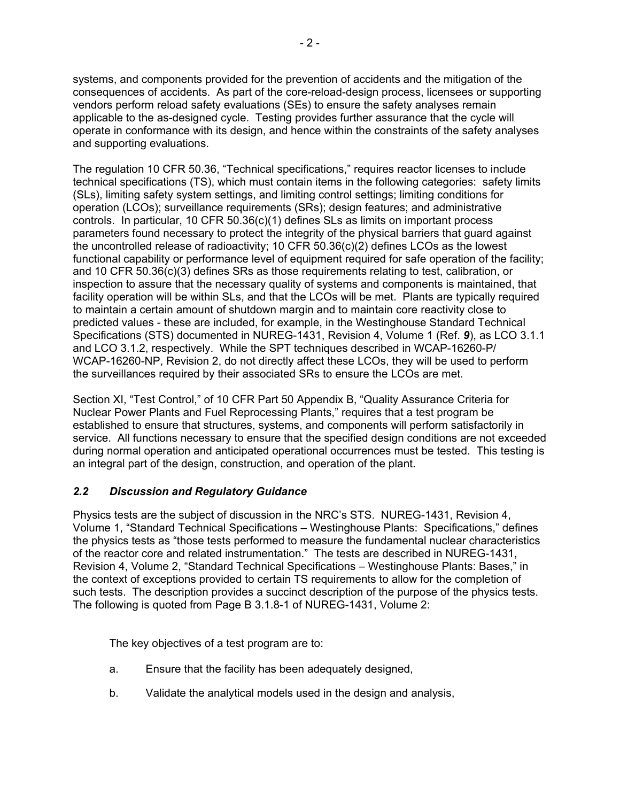systems, and components provided for the prevention of accidents and the mitigation of the consequences of accidents. As part of the core-reload-design process, licensees or supporting vendors perform reload safety evaluations (SEs) to ensure the safety analyses remain applicable to the as-designed cycle. Testing provides further assurance that the cycle will operate in conformance with its design, and hence within the constraints of the safety analyses and supporting evaluations.

The regulation 10 CFR 50.36, "Technical specifications," requires reactor licenses to include technical specifications (TS), which must contain items in the following categories: safety limits (SLs), limiting safety system settings, and limiting control settings; limiting conditions for operation (LCOs); surveillance requirements (SRs); design features; and administrative controls. In particular, 10 CFR 50.36(c)(1) defines SLs as limits on important process parameters found necessary to protect the integrity of the physical barriers that guard against the uncontrolled release of radioactivity; 10 CFR 50.36(c)(2) defines LCOs as the lowest functional capability or performance level of equipment required for safe operation of the facility; and 10 CFR 50.36(c)(3) defines SRs as those requirements relating to test, calibration, or inspection to assure that the necessary quality of systems and components is maintained, that facility operation will be within SLs, and that the LCOs will be met. Plants are typically required to maintain a certain amount of shutdown margin and to maintain core reactivity close to predicted values - these are included, for example, in the Westinghouse Standard Technical Specifications (STS) documented in NUREG-1431, Revision 4, Volume 1 (Ref. *9*), as LCO 3.1.1 and LCO 3.1.2, respectively. While the SPT techniques described in WCAP-16260-P/ WCAP-16260-NP, Revision 2, do not directly affect these LCOs, they will be used to perform the surveillances required by their associated SRs to ensure the LCOs are met.

Section XI, "Test Control," of 10 CFR Part 50 Appendix B, "Quality Assurance Criteria for Nuclear Power Plants and Fuel Reprocessing Plants," requires that a test program be established to ensure that structures, systems, and components will perform satisfactorily in service. All functions necessary to ensure that the specified design conditions are not exceeded during normal operation and anticipated operational occurrences must be tested. This testing is an integral part of the design, construction, and operation of the plant.

#### *2.2 Discussion and Regulatory Guidance*

Physics tests are the subject of discussion in the NRC's STS. NUREG-1431, Revision 4, Volume 1, "Standard Technical Specifications – Westinghouse Plants: Specifications," defines the physics tests as "those tests performed to measure the fundamental nuclear characteristics of the reactor core and related instrumentation." The tests are described in NUREG-1431, Revision 4, Volume 2, "Standard Technical Specifications – Westinghouse Plants: Bases," in the context of exceptions provided to certain TS requirements to allow for the completion of such tests. The description provides a succinct description of the purpose of the physics tests. The following is quoted from Page B 3.1.8-1 of NUREG-1431, Volume 2:

The key objectives of a test program are to:

- a. Ensure that the facility has been adequately designed,
- b. Validate the analytical models used in the design and analysis,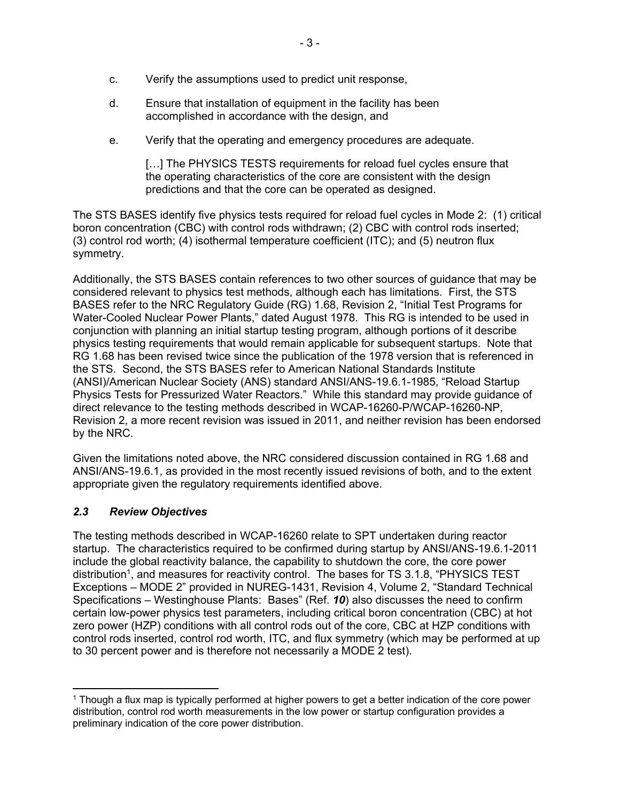- c. Verify the assumptions used to predict unit response,
- d. Ensure that installation of equipment in the facility has been accomplished in accordance with the design, and
- e. Verify that the operating and emergency procedures are adequate.

[...] The PHYSICS TESTS requirements for reload fuel cycles ensure that the operating characteristics of the core are consistent with the design predictions and that the core can be operated as designed.

The STS BASES identify five physics tests required for reload fuel cycles in Mode 2: (1) critical boron concentration (CBC) with control rods withdrawn; (2) CBC with control rods inserted; (3) control rod worth; (4) isothermal temperature coefficient (ITC); and (5) neutron flux symmetry.

Additionally, the STS BASES contain references to two other sources of guidance that may be considered relevant to physics test methods, although each has limitations. First, the STS BASES refer to the NRC Regulatory Guide (RG) 1.68, Revision 2, "Initial Test Programs for Water-Cooled Nuclear Power Plants," dated August 1978. This RG is intended to be used in conjunction with planning an initial startup testing program, although portions of it describe physics testing requirements that would remain applicable for subsequent startups. Note that RG 1.68 has been revised twice since the publication of the 1978 version that is referenced in the STS. Second, the STS BASES refer to American National Standards Institute (ANSI)/American Nuclear Society (ANS) standard ANSI/ANS-19.6.1-1985, "Reload Startup Physics Tests for Pressurized Water Reactors." While this standard may provide guidance of direct relevance to the testing methods described in WCAP-16260-P/WCAP-16260-NP, Revision 2, a more recent revision was issued in 2011, and neither revision has been endorsed by the NRC.

Given the limitations noted above, the NRC considered discussion contained in RG 1.68 and ANSI/ANS-19.6.1, as provided in the most recently issued revisions of both, and to the extent appropriate given the regulatory requirements identified above.

# *2.3 Review Objectives*

The testing methods described in WCAP-16260 relate to SPT undertaken during reactor startup. The characteristics required to be confirmed during startup by ANSI/ANS-19.6.1-2011 include the global reactivity balance, the capability to shutdown the core, the core power distribution<sup>1</sup>, and measures for reactivity control. The bases for TS 3.1.8, "PHYSICS TEST Exceptions – MODE 2" provided in NUREG-1431, Revision 4, Volume 2, "Standard Technical Specifications – Westinghouse Plants: Bases" (Ref. *10*) also discusses the need to confirm certain low-power physics test parameters, including critical boron concentration (CBC) at hot zero power (HZP) conditions with all control rods out of the core, CBC at HZP conditions with control rods inserted, control rod worth, ITC, and flux symmetry (which may be performed at up to 30 percent power and is therefore not necessarily a MODE 2 test).

**<sup>.</sup>**  $1$  Though a flux map is typically performed at higher powers to get a better indication of the core power distribution, control rod worth measurements in the low power or startup configuration provides a preliminary indication of the core power distribution.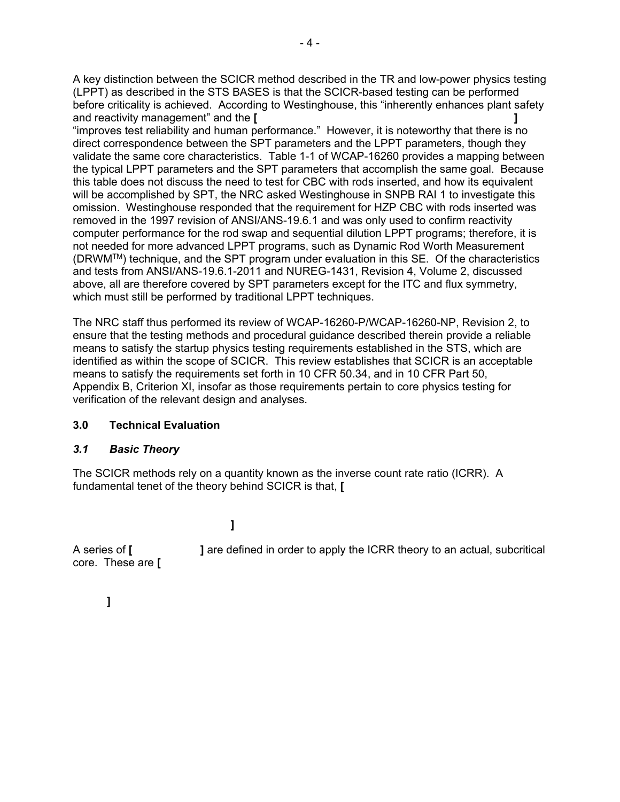A key distinction between the SCICR method described in the TR and low-power physics testing (LPPT) as described in the STS BASES is that the SCICR-based testing can be performed before criticality is achieved. According to Westinghouse, this "inherently enhances plant safety and reactivity management" and the **[ ]**

"improves test reliability and human performance." However, it is noteworthy that there is no direct correspondence between the SPT parameters and the LPPT parameters, though they validate the same core characteristics. Table 1-1 of WCAP-16260 provides a mapping between the typical LPPT parameters and the SPT parameters that accomplish the same goal. Because this table does not discuss the need to test for CBC with rods inserted, and how its equivalent will be accomplished by SPT, the NRC asked Westinghouse in SNPB RAI 1 to investigate this omission. Westinghouse responded that the requirement for HZP CBC with rods inserted was removed in the 1997 revision of ANSI/ANS-19.6.1 and was only used to confirm reactivity computer performance for the rod swap and sequential dilution LPPT programs; therefore, it is not needed for more advanced LPPT programs, such as Dynamic Rod Worth Measurement (DRWMTM) technique, and the SPT program under evaluation in this SE. Of the characteristics and tests from ANSI/ANS-19.6.1-2011 and NUREG-1431, Revision 4, Volume 2, discussed above, all are therefore covered by SPT parameters except for the ITC and flux symmetry, which must still be performed by traditional LPPT techniques.

The NRC staff thus performed its review of WCAP-16260-P/WCAP-16260-NP, Revision 2, to ensure that the testing methods and procedural guidance described therein provide a reliable means to satisfy the startup physics testing requirements established in the STS, which are identified as within the scope of SCICR. This review establishes that SCICR is an acceptable means to satisfy the requirements set forth in 10 CFR 50.34, and in 10 CFR Part 50, Appendix B, Criterion XI, insofar as those requirements pertain to core physics testing for verification of the relevant design and analyses.

#### **3.0 Technical Evaluation**

#### *3.1 Basic Theory*

The SCICR methods rely on a quantity known as the inverse count rate ratio (ICRR). A fundamental tenet of the theory behind SCICR is that, **[**

**]**

A series of **[ ]** are defined in order to apply the ICRR theory to an actual, subcritical core. These are **[**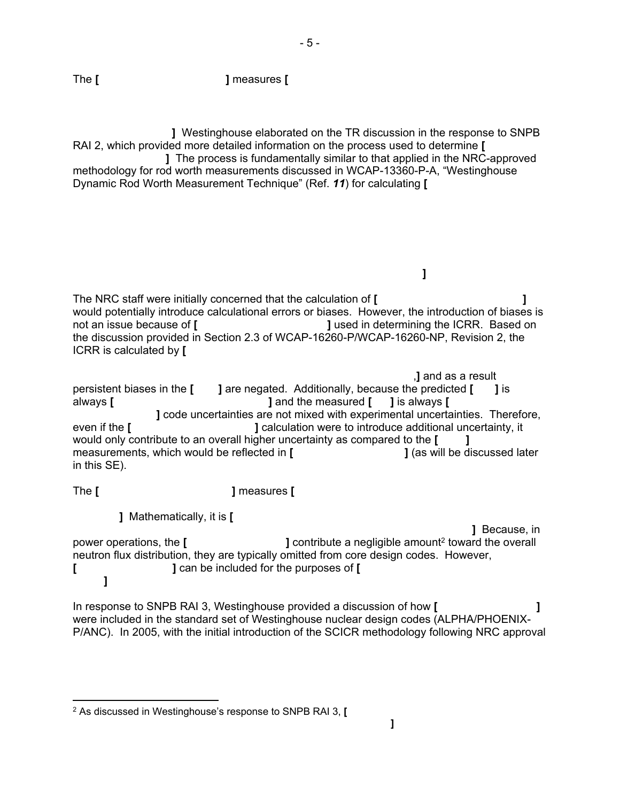The **[ ]** measures **[**

 **]** Westinghouse elaborated on the TR discussion in the response to SNPB RAI 2, which provided more detailed information on the process used to determine **[**

 **]** The process is fundamentally similar to that applied in the NRC-approved methodology for rod worth measurements discussed in WCAP-13360-P-A, "Westinghouse Dynamic Rod Worth Measurement Technique" (Ref. *11*) for calculating **[**

The NRC staff were initially concerned that the calculation of **[ ]** would potentially introduce calculational errors or biases. However, the introduction of biases is not an issue because of **[ ]** used in determining the ICRR. Based on the discussion provided in Section 2.3 of WCAP-16260-P/WCAP-16260-NP, Revision 2, the ICRR is calculated by **[**

**]**

 ,**]** and as a result persistent biases in the **[ ]** are negated. Additionally, because the predicted **[ ]** is always **[ ]** and the measured **[ ]** is always **[ ]** code uncertainties are not mixed with experimental uncertainties. Therefore, even if the **[ ]** calculation were to introduce additional uncertainty, it would only contribute to an overall higher uncertainty as compared to the **[ ]** measurements, which would be reflected in **[ ]** (as will be discussed later in this SE).

The **[ ]** measures **[**

**]** Mathematically, it is **[**

 $\overline{a}$ 

 **]** Because, in power operations, the **[ ]** contribute a negligible amount2 toward the overall neutron flux distribution, they are typically omitted from core design codes. However, **[ ]** can be included for the purposes of **[ ]**

In response to SNPB RAI 3, Westinghouse provided a discussion of how **[ ]** were included in the standard set of Westinghouse nuclear design codes (ALPHA/PHOENIX-P/ANC). In 2005, with the initial introduction of the SCICR methodology following NRC approval

<sup>2</sup> As discussed in Westinghouse's response to SNPB RAI 3, **[ ]**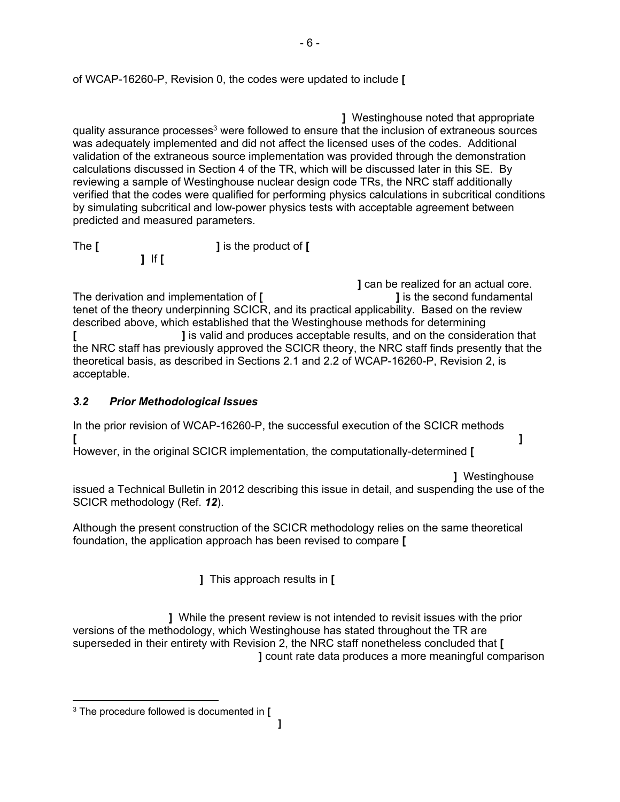**]** Westinghouse noted that appropriate quality assurance processes<sup>3</sup> were followed to ensure that the inclusion of extraneous sources was adequately implemented and did not affect the licensed uses of the codes. Additional validation of the extraneous source implementation was provided through the demonstration calculations discussed in Section 4 of the TR, which will be discussed later in this SE. By reviewing a sample of Westinghouse nuclear design code TRs, the NRC staff additionally verified that the codes were qualified for performing physics calculations in subcritical conditions by simulating subcritical and low-power physics tests with acceptable agreement between predicted and measured parameters.

The **[ ]** is the product of **[**

 **]** can be realized for an actual core. The derivation and implementation of **[ ]** is the second fundamental tenet of the theory underpinning SCICR, and its practical applicability. Based on the review described above, which established that the Westinghouse methods for determining **[ ]** is valid and produces acceptable results, and on the consideration that the NRC staff has previously approved the SCICR theory, the NRC staff finds presently that the theoretical basis, as described in Sections 2.1 and 2.2 of WCAP-16260-P, Revision 2, is acceptable.

# *3.2 Prior Methodological Issues*

**]** If **[**

In the prior revision of WCAP-16260-P, the successful execution of the SCICR methods **[ ]**

However, in the original SCICR implementation, the computationally-determined **[**

**]** Westinghouse

issued a Technical Bulletin in 2012 describing this issue in detail, and suspending the use of the SCICR methodology (Ref. *12*).

Although the present construction of the SCICR methodology relies on the same theoretical foundation, the application approach has been revised to compare **[**

**]** This approach results in **[**

 **]** While the present review is not intended to revisit issues with the prior versions of the methodology, which Westinghouse has stated throughout the TR are superseded in their entirety with Revision 2, the NRC staff nonetheless concluded that **[ ]** count rate data produces a more meaningful comparison

1

<sup>3</sup> The procedure followed is documented in **[ ]**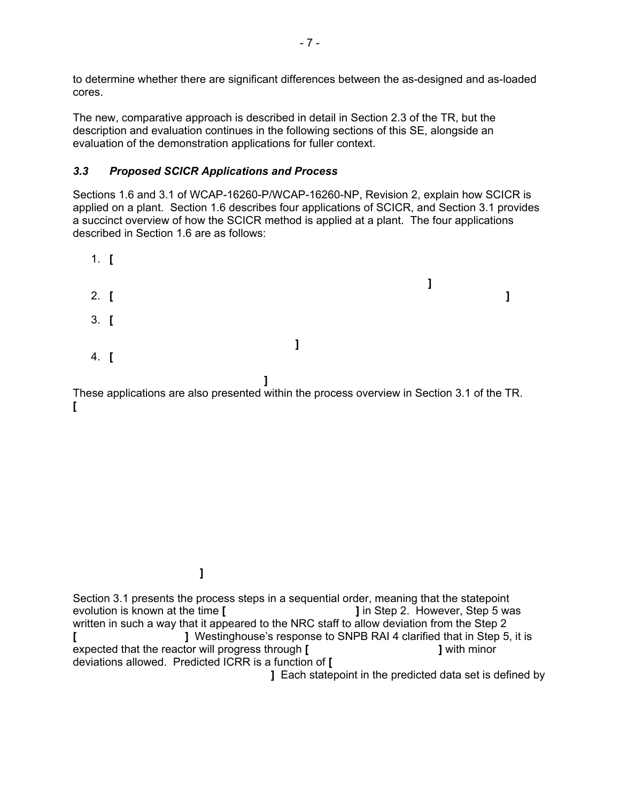to determine whether there are significant differences between the as-designed and as-loaded cores.

The new, comparative approach is described in detail in Section 2.3 of the TR, but the description and evaluation continues in the following sections of this SE, alongside an evaluation of the demonstration applications for fuller context.

## *3.3 Proposed SCICR Applications and Process*

Sections 1.6 and 3.1 of WCAP-16260-P/WCAP-16260-NP, Revision 2, explain how SCICR is applied on a plant. Section 1.6 describes four applications of SCICR, and Section 3.1 provides a succinct overview of how the SCICR method is applied at a plant. The four applications described in Section 1.6 are as follows:



These applications are also presented within the process overview in Section 3.1 of the TR. **[** 

 **]**

Section 3.1 presents the process steps in a sequential order, meaning that the statepoint evolution is known at the time **[ ]** in Step 2. However, Step 5 was written in such a way that it appeared to the NRC staff to allow deviation from the Step 2 **[ ]** Westinghouse's response to SNPB RAI 4 clarified that in Step 5, it is expected that the reactor will progress through **[ ]** with minor deviations allowed. Predicted ICRR is a function of **[**

**]** Each statepoint in the predicted data set is defined by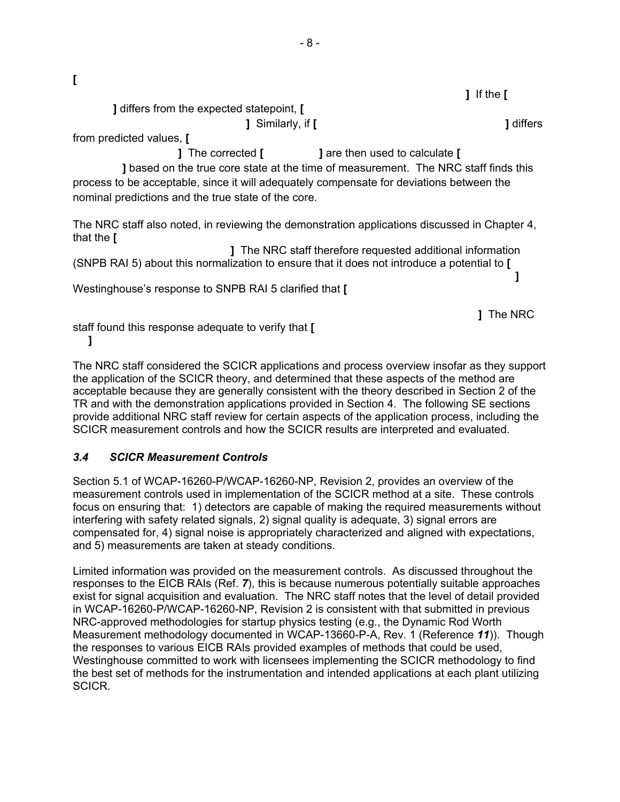|                                                                                                                                                                                                                                               | If the $[$       |
|-----------------------------------------------------------------------------------------------------------------------------------------------------------------------------------------------------------------------------------------------|------------------|
| ] differs from the expected statepoint, [                                                                                                                                                                                                     |                  |
| ] Similarly, if [                                                                                                                                                                                                                             | ] differs        |
| from predicted values, [                                                                                                                                                                                                                      |                  |
| <b>]</b> The corrected <b>[</b><br>] are then used to calculate [                                                                                                                                                                             |                  |
| <b>J</b> based on the true core state at the time of measurement. The NRC staff finds this<br>process to be acceptable, since it will adequately compensate for deviations between the<br>nominal predictions and the true state of the core. |                  |
| The NRC staff also noted, in reviewing the demonstration applications discussed in Chapter 4,<br>that the <b>[</b>                                                                                                                            |                  |
| ] The NRC staff therefore requested additional information<br>(SNPB RAI 5) about this normalization to ensure that it does not introduce a potential to [                                                                                     |                  |
| Westinghouse's response to SNPB RAI 5 clarified that [                                                                                                                                                                                        |                  |
| staff found this response adequate to verify that [                                                                                                                                                                                           | <b>]</b> The NRC |

The NRC staff considered the SCICR applications and process overview insofar as they support the application of the SCICR theory, and determined that these aspects of the method are acceptable because they are generally consistent with the theory described in Section 2 of the TR and with the demonstration applications provided in Section 4. The following SE sections provide additional NRC staff review for certain aspects of the application process, including the SCICR measurement controls and how the SCICR results are interpreted and evaluated.

# *3.4 SCICR Measurement Controls*

**[**

Section 5.1 of WCAP-16260-P/WCAP-16260-NP, Revision 2, provides an overview of the measurement controls used in implementation of the SCICR method at a site. These controls focus on ensuring that: 1) detectors are capable of making the required measurements without interfering with safety related signals, 2) signal quality is adequate, 3) signal errors are compensated for, 4) signal noise is appropriately characterized and aligned with expectations, and 5) measurements are taken at steady conditions.

Limited information was provided on the measurement controls. As discussed throughout the responses to the EICB RAIs (Ref. *7*), this is because numerous potentially suitable approaches exist for signal acquisition and evaluation. The NRC staff notes that the level of detail provided in WCAP-16260-P/WCAP-16260-NP, Revision 2 is consistent with that submitted in previous NRC-approved methodologies for startup physics testing (e.g., the Dynamic Rod Worth Measurement methodology documented in WCAP-13660-P-A, Rev. 1 (Reference *11*)). Though the responses to various EICB RAIs provided examples of methods that could be used, Westinghouse committed to work with licensees implementing the SCICR methodology to find the best set of methods for the instrumentation and intended applications at each plant utilizing SCICR.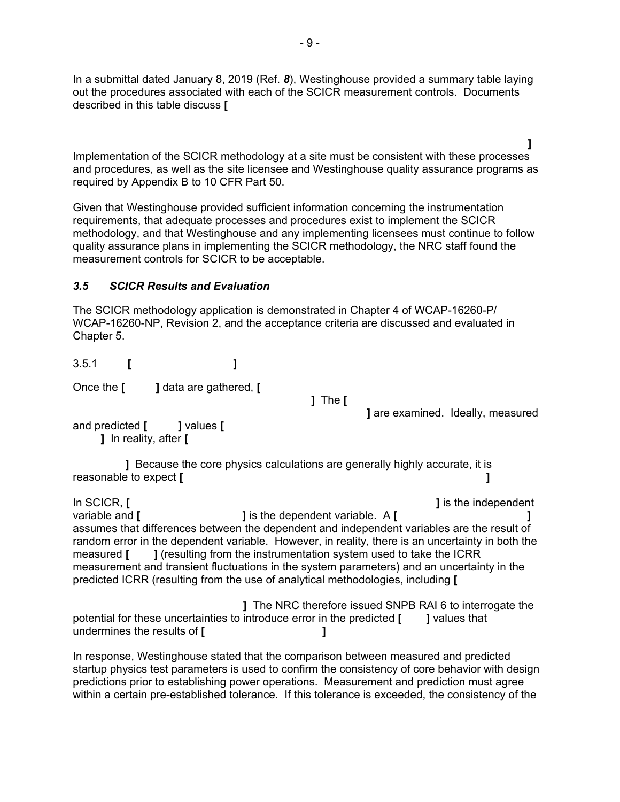In a submittal dated January 8, 2019 (Ref. *8*), Westinghouse provided a summary table laying out the procedures associated with each of the SCICR measurement controls. Documents described in this table discuss **[**

 **]** Implementation of the SCICR methodology at a site must be consistent with these processes and procedures, as well as the site licensee and Westinghouse quality assurance programs as required by Appendix B to 10 CFR Part 50.

Given that Westinghouse provided sufficient information concerning the instrumentation requirements, that adequate processes and procedures exist to implement the SCICR methodology, and that Westinghouse and any implementing licensees must continue to follow quality assurance plans in implementing the SCICR methodology, the NRC staff found the measurement controls for SCICR to be acceptable.

#### *3.5 SCICR Results and Evaluation*

The SCICR methodology application is demonstrated in Chapter 4 of WCAP-16260-P/ WCAP-16260-NP, Revision 2, and the acceptance criteria are discussed and evaluated in Chapter 5.

3.5.1 **[ ]**

Once the **[ ]** data are gathered, **[**

**]** The **[**

**]** are examined. Ideally, measured

and predicted **[ ]** values **[ ]** In reality, after **[**

 **]** Because the core physics calculations are generally highly accurate, it is reasonable to expect **[ ]**

In SCICR, **[ ]** is the independent variable and **[ ]** is the dependent variable. A **[ ]** assumes that differences between the dependent and independent variables are the result of random error in the dependent variable. However, in reality, there is an uncertainty in both the measured **[ ]** (resulting from the instrumentation system used to take the ICRR measurement and transient fluctuations in the system parameters) and an uncertainty in the predicted ICRR (resulting from the use of analytical methodologies, including **[**

 **]** The NRC therefore issued SNPB RAI 6 to interrogate the potential for these uncertainties to introduce error in the predicted **[ ]** values that undermines the results of **[ ]**

In response, Westinghouse stated that the comparison between measured and predicted startup physics test parameters is used to confirm the consistency of core behavior with design predictions prior to establishing power operations. Measurement and prediction must agree within a certain pre-established tolerance. If this tolerance is exceeded, the consistency of the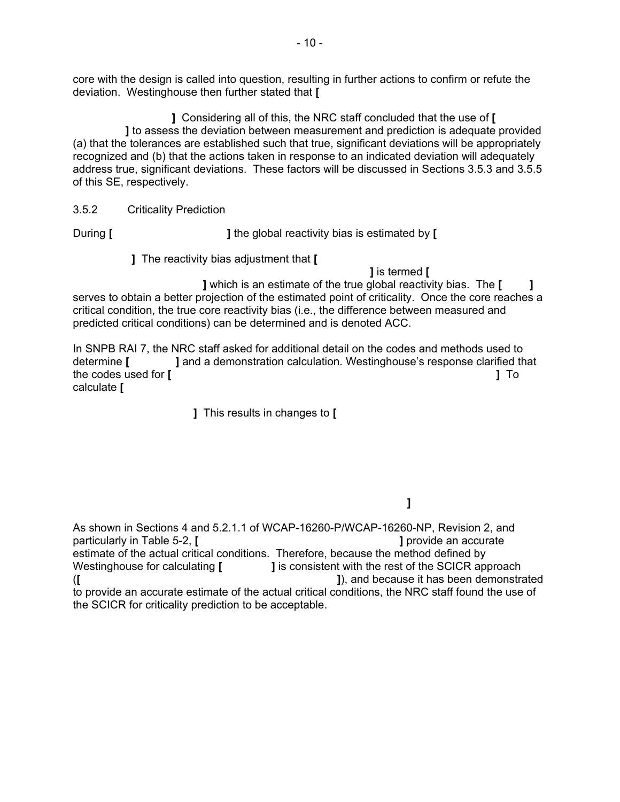core with the design is called into question, resulting in further actions to confirm or refute the deviation. Westinghouse then further stated that **[**

 **]** Considering all of this, the NRC staff concluded that the use of **[ ]** to assess the deviation between measurement and prediction is adequate provided (a) that the tolerances are established such that true, significant deviations will be appropriately recognized and (b) that the actions taken in response to an indicated deviation will adequately address true, significant deviations. These factors will be discussed in Sections 3.5.3 and 3.5.5 of this SE, respectively.

3.5.2 Criticality Prediction

During **[ ]** the global reactivity bias is estimated by **[**

**]** The reactivity bias adjustment that **[**

**]** is termed **[**

 **]** which is an estimate of the true global reactivity bias. The **[ ]** serves to obtain a better projection of the estimated point of criticality. Once the core reaches a critical condition, the true core reactivity bias (i.e., the difference between measured and predicted critical conditions) can be determined and is denoted ACC.

In SNPB RAI 7, the NRC staff asked for additional detail on the codes and methods used to determine **[ ]** and a demonstration calculation. Westinghouse's response clarified that the codes used for **[ ]** To calculate **[**

**]** This results in changes to **[** 

 **]**

As shown in Sections 4 and 5.2.1.1 of WCAP-16260-P/WCAP-16260-NP, Revision 2, and particularly in Table 5-2, [ particularly in Table 5-2, [ estimate of the actual critical conditions. Therefore, because the method defined by Westinghouse for calculating **[ ]** is consistent with the rest of the SCICR approach (**[ ]**), and because it has been demonstrated to provide an accurate estimate of the actual critical conditions, the NRC staff found the use of the SCICR for criticality prediction to be acceptable.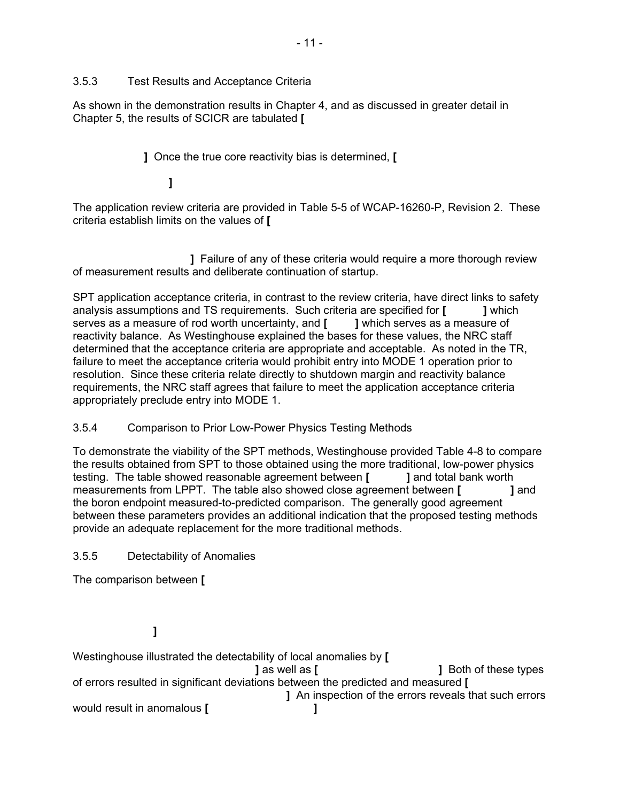## 3.5.3 Test Results and Acceptance Criteria

As shown in the demonstration results in Chapter 4, and as discussed in greater detail in Chapter 5, the results of SCICR are tabulated **[**

**]** Once the true core reactivity bias is determined, **[**

# **]**

The application review criteria are provided in Table 5-5 of WCAP-16260-P, Revision 2. These criteria establish limits on the values of **[**

 **]** Failure of any of these criteria would require a more thorough review of measurement results and deliberate continuation of startup.

SPT application acceptance criteria, in contrast to the review criteria, have direct links to safety analysis assumptions and TS requirements. Such criteria are specified for **[ ]** which serves as a measure of rod worth uncertainty, and **[ ]** which serves as a measure of reactivity balance. As Westinghouse explained the bases for these values, the NRC staff determined that the acceptance criteria are appropriate and acceptable. As noted in the TR, failure to meet the acceptance criteria would prohibit entry into MODE 1 operation prior to resolution. Since these criteria relate directly to shutdown margin and reactivity balance requirements, the NRC staff agrees that failure to meet the application acceptance criteria appropriately preclude entry into MODE 1.

# 3.5.4 Comparison to Prior Low-Power Physics Testing Methods

To demonstrate the viability of the SPT methods, Westinghouse provided Table 4-8 to compare the results obtained from SPT to those obtained using the more traditional, low-power physics testing. The table showed reasonable agreement between **[ ]** and total bank worth measurements from LPPT. The table also showed close agreement between **[ ]** and the boron endpoint measured-to-predicted comparison. The generally good agreement between these parameters provides an additional indication that the proposed testing methods provide an adequate replacement for the more traditional methods.

# 3.5.5 Detectability of Anomalies

The comparison between **[**

# **]**

Westinghouse illustrated the detectability of local anomalies by **[**

 **]** as well as **[ ]** Both of these types of errors resulted in significant deviations between the predicted and measured **[ ]** An inspection of the errors reveals that such errors would result in anomalous **[ ]**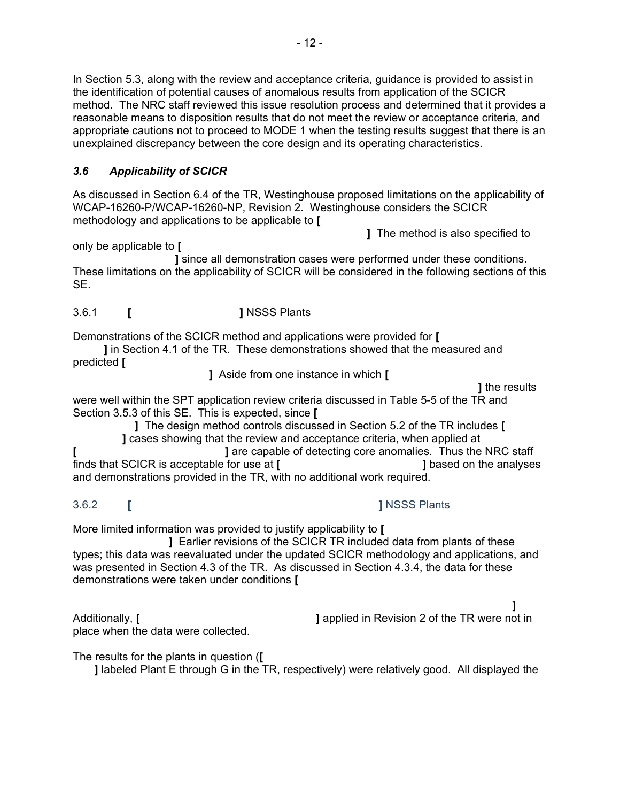In Section 5.3, along with the review and acceptance criteria, guidance is provided to assist in the identification of potential causes of anomalous results from application of the SCICR method. The NRC staff reviewed this issue resolution process and determined that it provides a reasonable means to disposition results that do not meet the review or acceptance criteria, and appropriate cautions not to proceed to MODE 1 when the testing results suggest that there is an unexplained discrepancy between the core design and its operating characteristics.

# *3.6 Applicability of SCICR*

As discussed in Section 6.4 of the TR, Westinghouse proposed limitations on the applicability of WCAP-16260-P/WCAP-16260-NP, Revision 2. Westinghouse considers the SCICR methodology and applications to be applicable to **[**

**]** The method is also specified to

only be applicable to **[**

 **]** since all demonstration cases were performed under these conditions. These limitations on the applicability of SCICR will be considered in the following sections of this SE.

3.6.1 **[ ]** NSSS Plants

Demonstrations of the SCICR method and applications were provided for **[**

 **]** in Section 4.1 of the TR. These demonstrations showed that the measured and predicted **[**

**]** Aside from one instance in which **[**

```
 ] the results
```
were well within the SPT application review criteria discussed in Table 5-5 of the TR and Section 3.5.3 of this SE. This is expected, since **[**

 **]** The design method controls discussed in Section 5.2 of the TR includes **[ ]** cases showing that the review and acceptance criteria, when applied at **[ ]** are capable of detecting core anomalies. Thus the NRC staff finds that SCICR is acceptable for use at **[ ]** based on the analyses and demonstrations provided in the TR, with no additional work required.

3.6.2 **[ ]** NSSS Plants

More limited information was provided to justify applicability to **[**

 **]** Earlier revisions of the SCICR TR included data from plants of these types; this data was reevaluated under the updated SCICR methodology and applications, and was presented in Section 4.3 of the TR. As discussed in Section 4.3.4, the data for these demonstrations were taken under conditions **[**

place when the data were collected.

 **]** Additionally, **[ ]** applied in Revision 2 of the TR were not in

The results for the plants in question (**[**

**]** labeled Plant E through G in the TR, respectively) were relatively good. All displayed the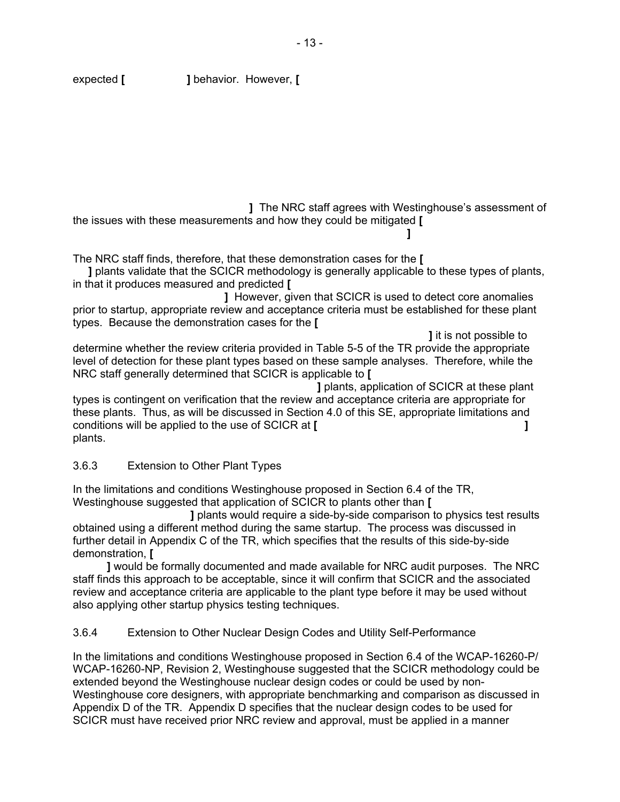**]** The NRC staff agrees with Westinghouse's assessment of the issues with these measurements and how they could be mitigated **[**

The NRC staff finds, therefore, that these demonstration cases for the **[**

**]**

 **]** plants validate that the SCICR methodology is generally applicable to these types of plants, in that it produces measured and predicted **[**

 **]** However, given that SCICR is used to detect core anomalies prior to startup, appropriate review and acceptance criteria must be established for these plant types. Because the demonstration cases for the **[**

 **]** it is not possible to determine whether the review criteria provided in Table 5-5 of the TR provide the appropriate level of detection for these plant types based on these sample analyses. Therefore, while the NRC staff generally determined that SCICR is applicable to **[**

 **]** plants, application of SCICR at these plant types is contingent on verification that the review and acceptance criteria are appropriate for these plants. Thus, as will be discussed in Section 4.0 of this SE, appropriate limitations and conditions will be applied to the use of SCICR at **[ ]** plants.

#### 3.6.3 Extension to Other Plant Types

In the limitations and conditions Westinghouse proposed in Section 6.4 of the TR, Westinghouse suggested that application of SCICR to plants other than **[**

 **]** plants would require a side-by-side comparison to physics test results obtained using a different method during the same startup. The process was discussed in further detail in Appendix C of the TR, which specifies that the results of this side-by-side demonstration, **[**

 **]** would be formally documented and made available for NRC audit purposes. The NRC staff finds this approach to be acceptable, since it will confirm that SCICR and the associated review and acceptance criteria are applicable to the plant type before it may be used without also applying other startup physics testing techniques.

3.6.4 Extension to Other Nuclear Design Codes and Utility Self-Performance

In the limitations and conditions Westinghouse proposed in Section 6.4 of the WCAP-16260-P/ WCAP-16260-NP, Revision 2, Westinghouse suggested that the SCICR methodology could be extended beyond the Westinghouse nuclear design codes or could be used by non-Westinghouse core designers, with appropriate benchmarking and comparison as discussed in Appendix D of the TR. Appendix D specifies that the nuclear design codes to be used for SCICR must have received prior NRC review and approval, must be applied in a manner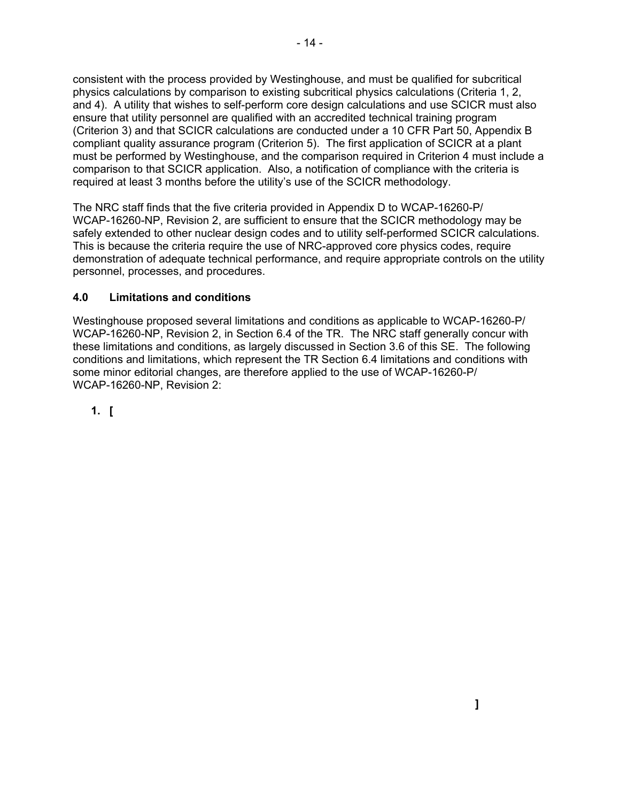consistent with the process provided by Westinghouse, and must be qualified for subcritical physics calculations by comparison to existing subcritical physics calculations (Criteria 1, 2, and 4). A utility that wishes to self-perform core design calculations and use SCICR must also ensure that utility personnel are qualified with an accredited technical training program (Criterion 3) and that SCICR calculations are conducted under a 10 CFR Part 50, Appendix B compliant quality assurance program (Criterion 5). The first application of SCICR at a plant must be performed by Westinghouse, and the comparison required in Criterion 4 must include a comparison to that SCICR application. Also, a notification of compliance with the criteria is required at least 3 months before the utility's use of the SCICR methodology.

The NRC staff finds that the five criteria provided in Appendix D to WCAP-16260-P/ WCAP-16260-NP, Revision 2, are sufficient to ensure that the SCICR methodology may be safely extended to other nuclear design codes and to utility self-performed SCICR calculations. This is because the criteria require the use of NRC-approved core physics codes, require demonstration of adequate technical performance, and require appropriate controls on the utility personnel, processes, and procedures.

# **4.0 Limitations and conditions**

Westinghouse proposed several limitations and conditions as applicable to WCAP-16260-P/ WCAP-16260-NP, Revision 2, in Section 6.4 of the TR. The NRC staff generally concur with these limitations and conditions, as largely discussed in Section 3.6 of this SE. The following conditions and limitations, which represent the TR Section 6.4 limitations and conditions with some minor editorial changes, are therefore applied to the use of WCAP-16260-P/ WCAP-16260-NP, Revision 2:

**1. [**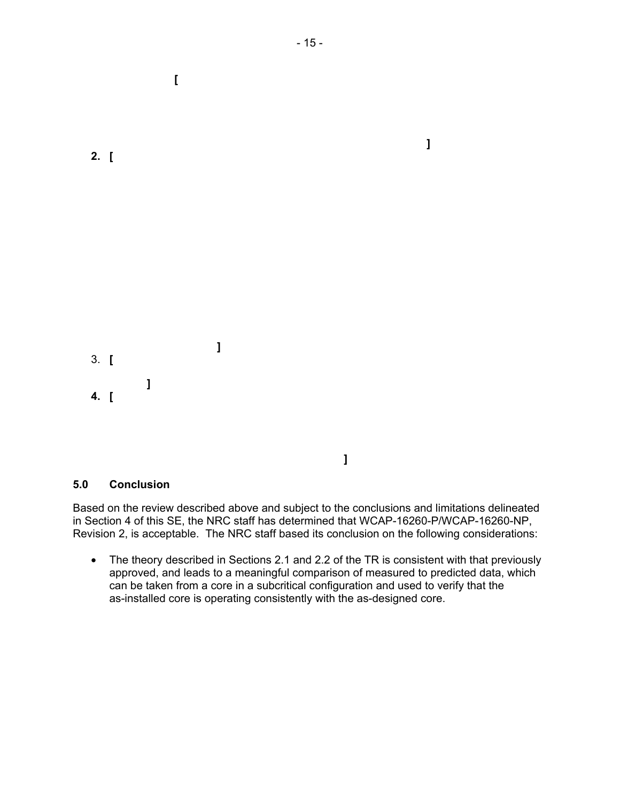

 **[** 

#### **5.0 Conclusion**

**2. [** 

Based on the review described above and subject to the conclusions and limitations delineated in Section 4 of this SE, the NRC staff has determined that WCAP-16260-P/WCAP-16260-NP, Revision 2, is acceptable. The NRC staff based its conclusion on the following considerations:

 **]**

• The theory described in Sections 2.1 and 2.2 of the TR is consistent with that previously approved, and leads to a meaningful comparison of measured to predicted data, which can be taken from a core in a subcritical configuration and used to verify that the as-installed core is operating consistently with the as-designed core.

 **]**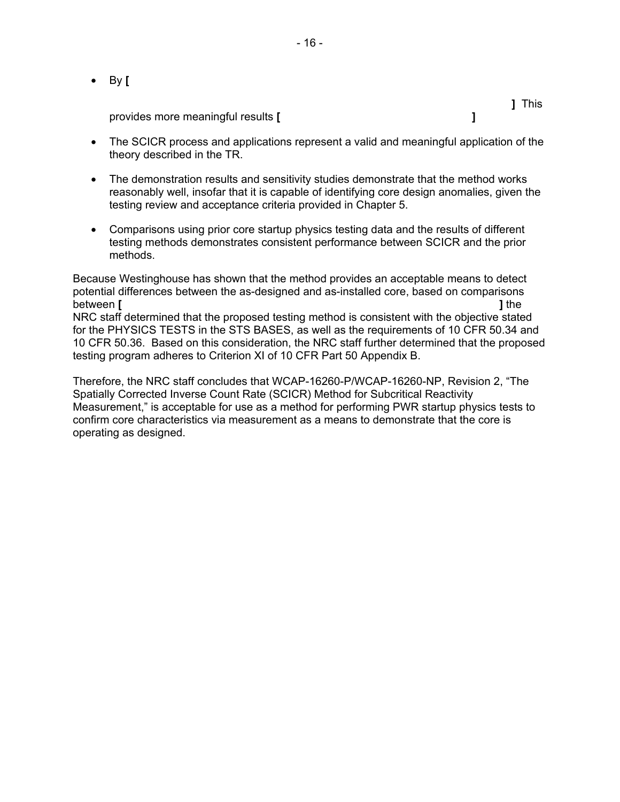• By **[**

provides more meaningful results **[ ]**

- The SCICR process and applications represent a valid and meaningful application of the theory described in the TR.
- The demonstration results and sensitivity studies demonstrate that the method works reasonably well, insofar that it is capable of identifying core design anomalies, given the testing review and acceptance criteria provided in Chapter 5.
- Comparisons using prior core startup physics testing data and the results of different testing methods demonstrates consistent performance between SCICR and the prior methods.

Because Westinghouse has shown that the method provides an acceptable means to detect potential differences between the as-designed and as-installed core, based on comparisons between **[ ]** the NRC staff determined that the proposed testing method is consistent with the objective stated for the PHYSICS TESTS in the STS BASES, as well as the requirements of 10 CFR 50.34 and 10 CFR 50.36. Based on this consideration, the NRC staff further determined that the proposed testing program adheres to Criterion XI of 10 CFR Part 50 Appendix B.

Therefore, the NRC staff concludes that WCAP-16260-P/WCAP-16260-NP, Revision 2, "The Spatially Corrected Inverse Count Rate (SCICR) Method for Subcritical Reactivity Measurement," is acceptable for use as a method for performing PWR startup physics tests to confirm core characteristics via measurement as a means to demonstrate that the core is operating as designed.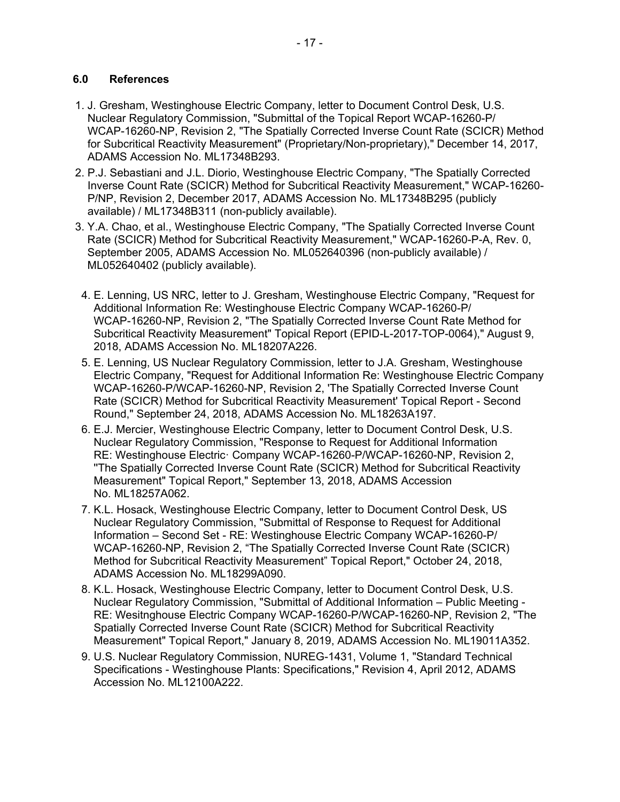#### **6.0 References**

- 1. J. Gresham, Westinghouse Electric Company, letter to Document Control Desk, U.S. Nuclear Regulatory Commission, "Submittal of the Topical Report WCAP-16260-P/ WCAP-16260-NP, Revision 2, "The Spatially Corrected Inverse Count Rate (SCICR) Method for Subcritical Reactivity Measurement" (Proprietary/Non-proprietary)," December 14, 2017, ADAMS Accession No. ML17348B293.
- 2. P.J. Sebastiani and J.L. Diorio, Westinghouse Electric Company, "The Spatially Corrected Inverse Count Rate (SCICR) Method for Subcritical Reactivity Measurement," WCAP-16260- P/NP, Revision 2, December 2017, ADAMS Accession No. ML17348B295 (publicly available) / ML17348B311 (non-publicly available).
- 3. Y.A. Chao, et al., Westinghouse Electric Company, "The Spatially Corrected Inverse Count Rate (SCICR) Method for Subcritical Reactivity Measurement," WCAP-16260-P-A, Rev. 0, September 2005, ADAMS Accession No. ML052640396 (non-publicly available) / ML052640402 (publicly available).
- 4. E. Lenning, US NRC, letter to J. Gresham, Westinghouse Electric Company, "Request for Additional Information Re: Westinghouse Electric Company WCAP-16260-P/ WCAP-16260-NP, Revision 2, "The Spatially Corrected Inverse Count Rate Method for Subcritical Reactivity Measurement" Topical Report (EPID-L-2017-TOP-0064)," August 9, 2018, ADAMS Accession No. ML18207A226.
- 5. E. Lenning, US Nuclear Regulatory Commission, letter to J.A. Gresham, Westinghouse Electric Company, "Request for Additional Information Re: Westinghouse Electric Company WCAP-16260-P/WCAP-16260-NP, Revision 2, 'The Spatially Corrected Inverse Count Rate (SCICR) Method for Subcritical Reactivity Measurement' Topical Report - Second Round," September 24, 2018, ADAMS Accession No. ML18263A197.
- 6. E.J. Mercier, Westinghouse Electric Company, letter to Document Control Desk, U.S. Nuclear Regulatory Commission, "Response to Request for Additional Information RE: Westinghouse Electric· Company WCAP-16260-P/WCAP-16260-NP, Revision 2, ''The Spatially Corrected Inverse Count Rate (SCICR) Method for Subcritical Reactivity Measurement" Topical Report," September 13, 2018, ADAMS Accession No. ML18257A062.
- 7. K.L. Hosack, Westinghouse Electric Company, letter to Document Control Desk, US Nuclear Regulatory Commission, "Submittal of Response to Request for Additional Information – Second Set - RE: Westinghouse Electric Company WCAP-16260-P/ WCAP-16260-NP, Revision 2, "The Spatially Corrected Inverse Count Rate (SCICR) Method for Subcritical Reactivity Measurement" Topical Report," October 24, 2018, ADAMS Accession No. ML18299A090.
- 8. K.L. Hosack, Westinghouse Electric Company, letter to Document Control Desk, U.S. Nuclear Regulatory Commission, "Submittal of Additional Information – Public Meeting - RE: Wesitnghouse Electric Company WCAP-16260-P/WCAP-16260-NP, Revision 2, "The Spatially Corrected Inverse Count Rate (SCICR) Method for Subcritical Reactivity Measurement" Topical Report," January 8, 2019, ADAMS Accession No. ML19011A352.
- 9. U.S. Nuclear Regulatory Commission, NUREG-1431, Volume 1, "Standard Technical Specifications - Westinghouse Plants: Specifications," Revision 4, April 2012, ADAMS Accession No. ML12100A222.